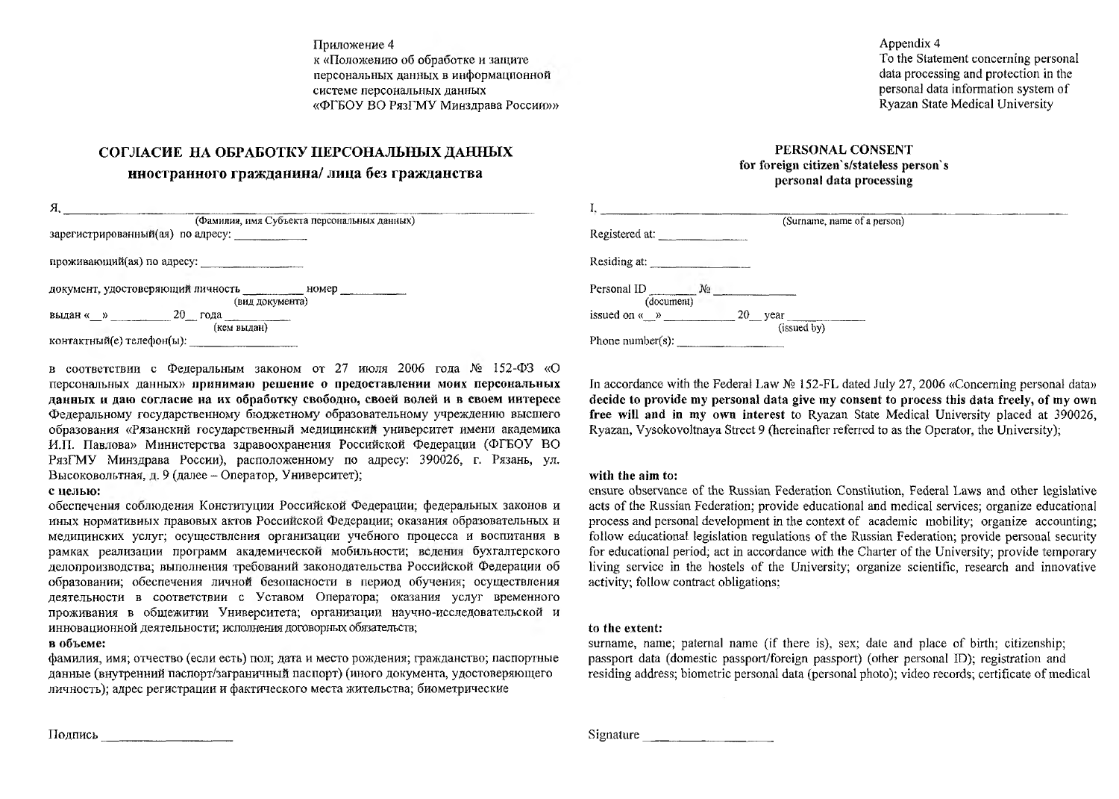Приложение 4 к «Положению об обработке и защите персональных данных в информационной системе персональных данных «ФГБОУ ВО РязГМУ Минздрава России»»

# СОГЛАСИЕ НА ОБРАБОТКУ ПЕРСОНАЛЬНЫХ ДАННЫХ

# иностранного гражданина/ лица без гражданства

| (Фамилия, имя Субъекта персональных данных)         |
|-----------------------------------------------------|
| зарегистрированный (ая) по адресу:                  |
|                                                     |
|                                                     |
| документ, удостоверяющий личность помер помер помер |
| (вид документа)                                     |
| выдан « $\_\$ » 20 года                             |
| (кем выдан)                                         |
|                                                     |

в соответствии с Федеральным законом от 27 июля 2006 года № 152-ФЗ «О персональных данных» принимаю решение о предоставлении моих персональных данных и даю согласие на их обработку свободно, своей волей и в своем интересе Федеральному государственному бюджетному образовательному учреждению высшего образования «Рязанский государственный медицинский университет имени академика И.П. Павлова» Министерства здравоохранения Российской Федерации (ФГБОУ ВО РязГМУ Минздрава России), расположенному по адресу: 390026, г. Рязань, ул. Высоковольтная, д. 9 (далее - Оператор, Университет);

#### с целью:

обеспечения соблюдения Конституции Российской Федерации; федеральных законов и иных нормативных правовых актов Российской Федерации; оказания образовательных и медицинских услуг; осуществления организации учебного процесса и воспитания в рамках реализации программ академической мобильности; ведения бухгалтерского делопроизводства; выполнения требований законодательства Российской Федерации об образовании; обеспечения личной безопасности в период обучения; осуществления деятельности в соответствии с Уставом Оператора; оказания услуг временного проживания в общежитии Университета; организации научно-исследовательской и инновационной деятельности; исполнения договорных обязательств;

## в объеме:

фамилия, имя; отчество (если есть) пол; дата и место рождения; гражданство; паспортные данные (внутренний паспорт/заграничный паспорт) (иного документа, удостоверяющего личность); адрес регистрации и фактического места жительства; биометрические

# Appendix 4 To the Statement concerning personal data processing and protection in the personal data information system of Ryazan State Medical University

#### PERSONAL CONSENT for foreign citizen's/stateless person's personal data processing

|                                  |       | (Surname, name of a person) |
|----------------------------------|-------|-----------------------------|
| Registered at:                   |       |                             |
| Residing at:                     |       |                             |
| Personal ID                      | $N_2$ |                             |
| (document)                       |       |                             |
| issued on $\kappa$ $\rightarrow$ |       | $20$ year                   |
|                                  |       | (issued by)                 |
|                                  |       |                             |

In accordance with the Federal Law  $\mathbb{N}_2$  152-FL dated July 27, 2006 «Concerning personal data» decide to provide my personal data give my consent to process this data freely, of my own free will and in my own interest to Ryazan State Medical University placed at 390026, Ryazan, Vysokovoltnaya Street 9 (hereinafter referred to as the Operator, the University);

## with the aim to:

ensure observance of the Russian Federation Constitution, Federal Laws and other legislative acts of the Russian Federation; provide educational and medical services; organize educational process and personal development in the context of academic mobility; organize accounting; follow educational legislation regulations of the Russian Federation; provide personal security for educational period; act in accordance with the Charter of the University; provide temporary living service in the hostels of the University; organize scientific, research and innovative activity; follow contract obligations;

## to the extent:

surname, name; paternal name (if there is), sex; date and place of birth; citizenship; passport data (domestic passport/foreign passport) (other personal ID); registration and residing address; biometric personal data (personal photo); video records; certificate of medical

|  |  | Подпись |  |
|--|--|---------|--|
|  |  |         |  |

| Signature |  |
|-----------|--|
|-----------|--|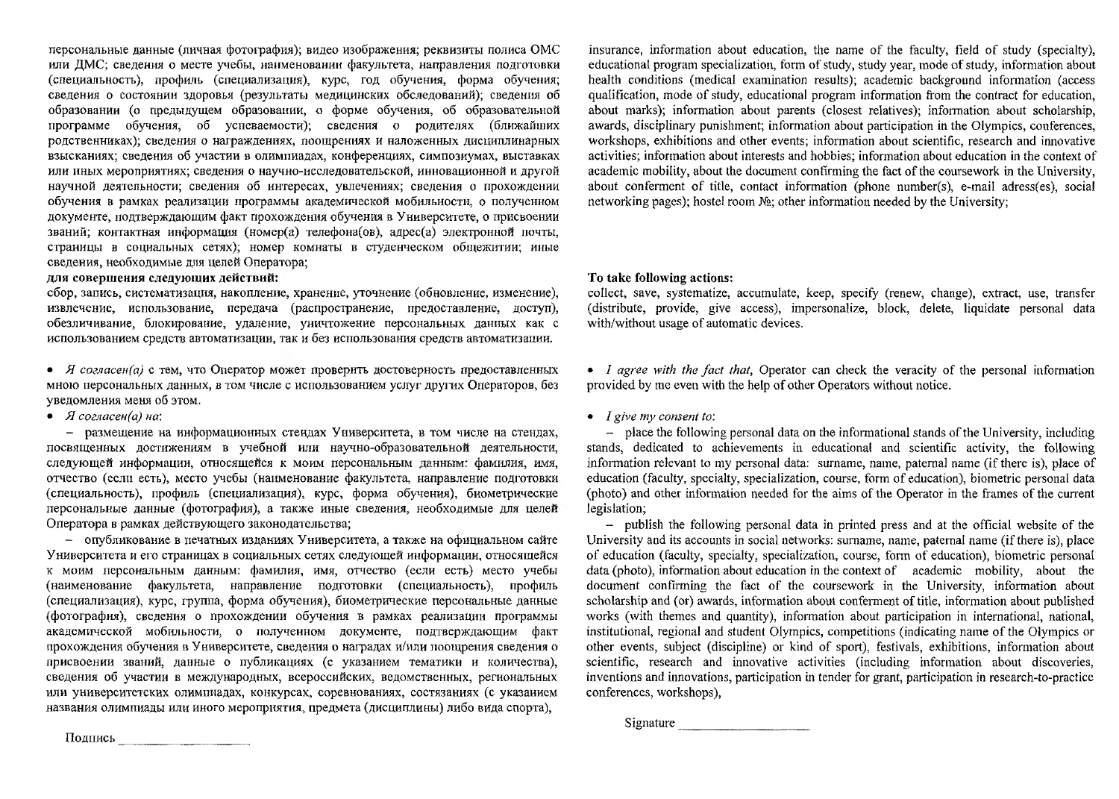персональные данные (личная фотография); видео изображения; реквизиты полиса ОМС или ДМС; сведения о месте учебы, наименовании факультета, направления подготовки (специальность), профиль (специализация), курс, год обучения, форма обучения; сведения о состоянии здоровья (результаты медицинских обследований); сведения об образовании (о предыдущем образовании, о форме обучения, об образовательной программе обучения, об успеваемости); сведения о родителях (ближайших родственниках); сведения о награждениях, поощрениях и наложенных дисциплинарных взысканиях; сведения об участии в олимпиадах, конференциях, симпозиумах, выставках или иных мероприятиях; сведения о научно-исследовательской, инновационной и другой научной деятельности; сведения об интересах, увлечениях; сведения о прохождении обучения в рамках реализации программы академической мобильности, о полученном документе, подтверждающим факт прохождения обучения в Университете, о присвоении званий; контактная информация (номер(а) телефона(ов), адрес(а) электронной почты, страницы в социальных сетях); номер комнаты в студенческом общежитии; иные сведения, необходимые для целей Оператора;

#### для совершения следующих действий:

сбор, запись, систематизация, накопление, хранение, уточнение (обновление, изменение), извлечение, использование, передача (распространение, предоставление, доступ), обезличивание, блокирование, удаление, уничтожение персональных данных как с использованием средств автоматизации, так и без использования средств автоматизации.

• Я согласен(а) с тем, что Оператор может проверить достоверность предоставленных мною персональных данных, в том числе с использованием услуг других Операторов, без уведомления меня об этом.

• Я согласен $(a)$  на:

- размещение на информационных стендах Университета, в том числе на стендах, посвященных достижениям в учебной или научно-образовательной деятельности, следующей информации, относящейся к моим персональным данным: фамилия, имя, отчество (если есть), место учебы (наименование факультета, направление подготовки (специальность), профиль (специализация), курс, форма обучения), биометрические персональные данные (фотография), а также иные сведения, необходимые для целей Оператора в рамках действующего законодательства;

- опубликование в печатных изданиях Университета, а также на официальном сайте Университета и его страницах в социальных сетях следующей информации, относящейся к моим персональным данным: фамилия, имя, отчество (если есть) место учебы (наименование факультета, направление подготовки (специальность), профиль (специализация), курс, группа, форма обучения), биометрические персональные данные (фотография), сведения о прохождении обучения в рамках реализации программы академической мобильности, о полученном документе, подтверждающим факт прохождения обучения в Университете, сведения о наградах и/или поощрения сведения о присвоении званий, данные о публикациях (с указанием тематики и количества), сведения об участии в международных, всероссийских, ведомственных, региональных или университетских олимпиадах, конкурсах, соревнованиях, состязаниях (с указанием названия олимпиады или иного мероприятия, предмета (дисциплины) либо вида спорта),

insurance, information about education, the name of the faculty, field of study (specialty). educational program specialization, form of study, study year, mode of study, information about health conditions (medical examination results); academic background information (access qualification, mode of study, educational program information from the contract for education, about marks); information about parents (closest relatives); information about scholarship, awards, disciplinary punishment; information about participation in the Olympics, conferences, workshops, exhibitions and other events; information about scientific, research and innovative activities; information about interests and hobbies; information about education in the context of academic mobility, about the document confirming the fact of the coursework in the University, about conferment of title, contact information (phone number(s), e-mail adress(es), social networking pages); hostel room No: other information needed by the University;

#### To take following actions:

collect, save, systematize, accumulate, keep, specify (renew, change), extract, use, transfer (distribute, provide, give access), impersonalize, block, delete, liquidate personal data with/without usage of automatic devices.

• I agree with the fact that, Operator can check the veracity of the personal information provided by me even with the help of other Operators without notice.

 $\bullet$  *I give my consent to:* 

- place the following personal data on the informational stands of the University, including stands, dedicated to achievements in educational and scientific activity, the following information relevant to my personal data: surname, name, paternal name (if there is), place of education (faculty, specialty, specialization, course, form of education), biometric personal data (photo) and other information needed for the aims of the Operator in the frames of the current legislation;

- publish the following personal data in printed press and at the official website of the University and its accounts in social networks: surname, name, paternal name (if there is), place of education (faculty, specialty, specialization, course, form of education), biometric personal data (photo), information about education in the context of academic mobility, about the document confirming the fact of the course work in the University, information about scholarship and (or) awards, information about conferment of title, information about published works (with themes and quantity), information about participation in international, national, institutional, regional and student Olympics, competitions (indicating name of the Olympics or other events, subject (discipline) or kind of sport), festivals, exhibitions, information about scientific, research and innovative activities (including information about discoveries, inventions and innovations, participation in tender for grant, participation in research-to-practice conferences, workshops).

Signature

Подпись Подпись